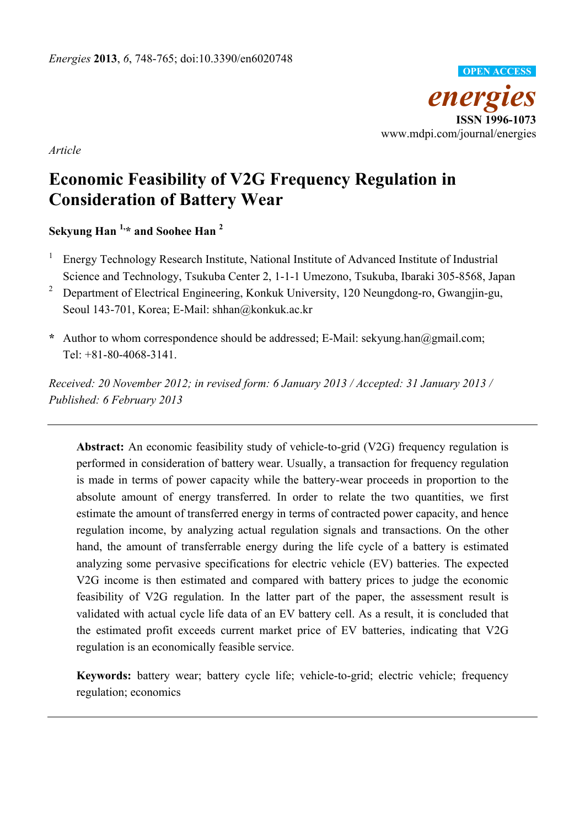

*Article* 

# **Economic Feasibility of V2G Frequency Regulation in Consideration of Battery Wear**

**Sekyung Han 1,\* and Soohee Han 2** 

- 1 Energy Technology Research Institute, National Institute of Advanced Institute of Industrial Science and Technology, Tsukuba Center 2, 1-1-1 Umezono, Tsukuba, Ibaraki 305-8568, Japan
- <sup>2</sup> Department of Electrical Engineering, Konkuk University, 120 Neungdong-ro, Gwangjin-gu, Seoul 143-701, Korea; E-Mail: shhan@konkuk.ac.kr
- **\*** Author to whom correspondence should be addressed; E-Mail: sekyung.han@gmail.com; Tel: +81-80-4068-3141.

*Received: 20 November 2012; in revised form: 6 January 2013 / Accepted: 31 January 2013 / Published: 6 February 2013* 

**Abstract:** An economic feasibility study of vehicle-to-grid (V2G) frequency regulation is performed in consideration of battery wear. Usually, a transaction for frequency regulation is made in terms of power capacity while the battery-wear proceeds in proportion to the absolute amount of energy transferred. In order to relate the two quantities, we first estimate the amount of transferred energy in terms of contracted power capacity, and hence regulation income, by analyzing actual regulation signals and transactions. On the other hand, the amount of transferrable energy during the life cycle of a battery is estimated analyzing some pervasive specifications for electric vehicle (EV) batteries. The expected V2G income is then estimated and compared with battery prices to judge the economic feasibility of V2G regulation. In the latter part of the paper, the assessment result is validated with actual cycle life data of an EV battery cell. As a result, it is concluded that the estimated profit exceeds current market price of EV batteries, indicating that V2G regulation is an economically feasible service.

**Keywords:** battery wear; battery cycle life; vehicle-to-grid; electric vehicle; frequency regulation; economics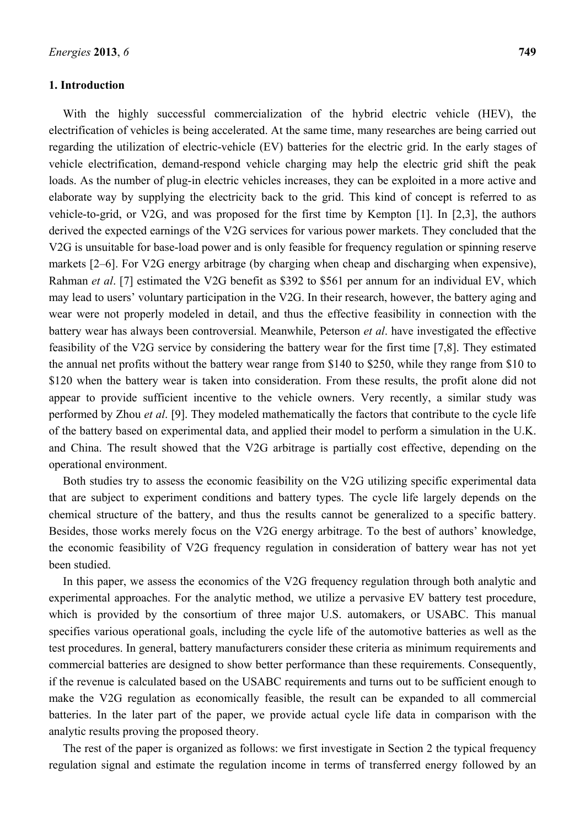#### **1. Introduction**

With the highly successful commercialization of the hybrid electric vehicle (HEV), the electrification of vehicles is being accelerated. At the same time, many researches are being carried out regarding the utilization of electric-vehicle (EV) batteries for the electric grid. In the early stages of vehicle electrification, demand-respond vehicle charging may help the electric grid shift the peak loads. As the number of plug-in electric vehicles increases, they can be exploited in a more active and elaborate way by supplying the electricity back to the grid. This kind of concept is referred to as vehicle-to-grid, or V2G, and was proposed for the first time by Kempton [1]. In [2,3], the authors derived the expected earnings of the V2G services for various power markets. They concluded that the V2G is unsuitable for base-load power and is only feasible for frequency regulation or spinning reserve markets [2–6]. For V2G energy arbitrage (by charging when cheap and discharging when expensive), Rahman *et al*. [7] estimated the V2G benefit as \$392 to \$561 per annum for an individual EV, which may lead to users' voluntary participation in the V2G. In their research, however, the battery aging and wear were not properly modeled in detail, and thus the effective feasibility in connection with the battery wear has always been controversial. Meanwhile, Peterson *et al*. have investigated the effective feasibility of the V2G service by considering the battery wear for the first time [7,8]. They estimated the annual net profits without the battery wear range from \$140 to \$250, while they range from \$10 to \$120 when the battery wear is taken into consideration. From these results, the profit alone did not appear to provide sufficient incentive to the vehicle owners. Very recently, a similar study was performed by Zhou *et al*. [9]. They modeled mathematically the factors that contribute to the cycle life of the battery based on experimental data, and applied their model to perform a simulation in the U.K. and China. The result showed that the V2G arbitrage is partially cost effective, depending on the operational environment.

Both studies try to assess the economic feasibility on the V2G utilizing specific experimental data that are subject to experiment conditions and battery types. The cycle life largely depends on the chemical structure of the battery, and thus the results cannot be generalized to a specific battery. Besides, those works merely focus on the V2G energy arbitrage. To the best of authors' knowledge, the economic feasibility of V2G frequency regulation in consideration of battery wear has not yet been studied.

In this paper, we assess the economics of the V2G frequency regulation through both analytic and experimental approaches. For the analytic method, we utilize a pervasive EV battery test procedure, which is provided by the consortium of three major U.S. automakers, or USABC. This manual specifies various operational goals, including the cycle life of the automotive batteries as well as the test procedures. In general, battery manufacturers consider these criteria as minimum requirements and commercial batteries are designed to show better performance than these requirements. Consequently, if the revenue is calculated based on the USABC requirements and turns out to be sufficient enough to make the V2G regulation as economically feasible, the result can be expanded to all commercial batteries. In the later part of the paper, we provide actual cycle life data in comparison with the analytic results proving the proposed theory.

The rest of the paper is organized as follows: we first investigate in Section 2 the typical frequency regulation signal and estimate the regulation income in terms of transferred energy followed by an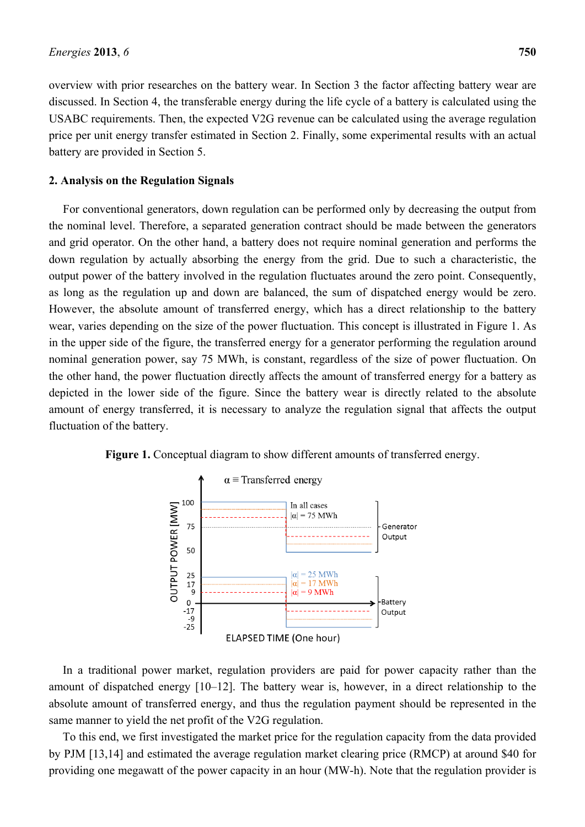overview with prior researches on the battery wear. In Section 3 the factor affecting battery wear are discussed. In Section 4, the transferable energy during the life cycle of a battery is calculated using the USABC requirements. Then, the expected V2G revenue can be calculated using the average regulation price per unit energy transfer estimated in Section 2. Finally, some experimental results with an actual battery are provided in Section 5.

### **2. Analysis on the Regulation Signals**

For conventional generators, down regulation can be performed only by decreasing the output from the nominal level. Therefore, a separated generation contract should be made between the generators and grid operator. On the other hand, a battery does not require nominal generation and performs the down regulation by actually absorbing the energy from the grid. Due to such a characteristic, the output power of the battery involved in the regulation fluctuates around the zero point. Consequently, as long as the regulation up and down are balanced, the sum of dispatched energy would be zero. However, the absolute amount of transferred energy, which has a direct relationship to the battery wear, varies depending on the size of the power fluctuation. This concept is illustrated in Figure 1. As in the upper side of the figure, the transferred energy for a generator performing the regulation around nominal generation power, say 75 MWh, is constant, regardless of the size of power fluctuation. On the other hand, the power fluctuation directly affects the amount of transferred energy for a battery as depicted in the lower side of the figure. Since the battery wear is directly related to the absolute amount of energy transferred, it is necessary to analyze the regulation signal that affects the output fluctuation of the battery.





In a traditional power market, regulation providers are paid for power capacity rather than the amount of dispatched energy [10–12]. The battery wear is, however, in a direct relationship to the absolute amount of transferred energy, and thus the regulation payment should be represented in the same manner to yield the net profit of the V2G regulation.

To this end, we first investigated the market price for the regulation capacity from the data provided by PJM [13,14] and estimated the average regulation market clearing price (RMCP) at around \$40 for providing one megawatt of the power capacity in an hour (MW-h). Note that the regulation provider is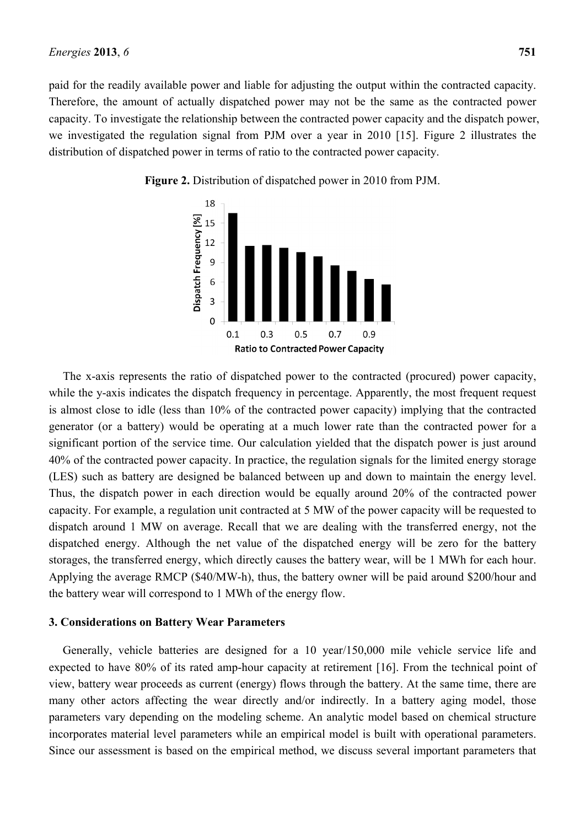paid for the readily available power and liable for adjusting the output within the contracted capacity. Therefore, the amount of actually dispatched power may not be the same as the contracted power capacity. To investigate the relationship between the contracted power capacity and the dispatch power, we investigated the regulation signal from PJM over a year in 2010 [15]. Figure 2 illustrates the distribution of dispatched power in terms of ratio to the contracted power capacity.



**Figure 2.** Distribution of dispatched power in 2010 from PJM.

The x-axis represents the ratio of dispatched power to the contracted (procured) power capacity, while the y-axis indicates the dispatch frequency in percentage. Apparently, the most frequent request is almost close to idle (less than 10% of the contracted power capacity) implying that the contracted generator (or a battery) would be operating at a much lower rate than the contracted power for a significant portion of the service time. Our calculation yielded that the dispatch power is just around 40% of the contracted power capacity. In practice, the regulation signals for the limited energy storage (LES) such as battery are designed be balanced between up and down to maintain the energy level. Thus, the dispatch power in each direction would be equally around 20% of the contracted power capacity. For example, a regulation unit contracted at 5 MW of the power capacity will be requested to dispatch around 1 MW on average. Recall that we are dealing with the transferred energy, not the dispatched energy. Although the net value of the dispatched energy will be zero for the battery storages, the transferred energy, which directly causes the battery wear, will be 1 MWh for each hour. Applying the average RMCP (\$40/MW-h), thus, the battery owner will be paid around \$200/hour and the battery wear will correspond to 1 MWh of the energy flow.

#### **3. Considerations on Battery Wear Parameters**

Generally, vehicle batteries are designed for a 10 year/150,000 mile vehicle service life and expected to have 80% of its rated amp-hour capacity at retirement [16]. From the technical point of view, battery wear proceeds as current (energy) flows through the battery. At the same time, there are many other actors affecting the wear directly and/or indirectly. In a battery aging model, those parameters vary depending on the modeling scheme. An analytic model based on chemical structure incorporates material level parameters while an empirical model is built with operational parameters. Since our assessment is based on the empirical method, we discuss several important parameters that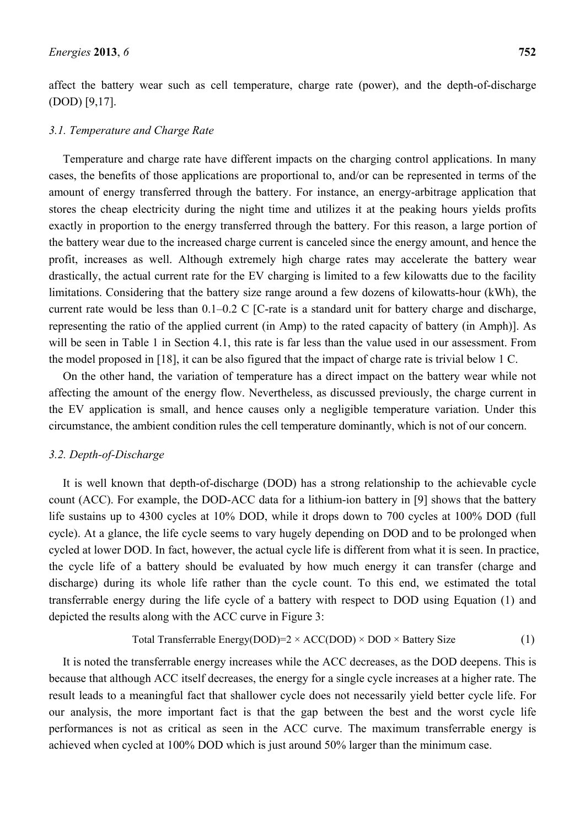affect the battery wear such as cell temperature, charge rate (power), and the depth-of-discharge (DOD) [9,17].

#### *3.1. Temperature and Charge Rate*

Temperature and charge rate have different impacts on the charging control applications. In many cases, the benefits of those applications are proportional to, and/or can be represented in terms of the amount of energy transferred through the battery. For instance, an energy-arbitrage application that stores the cheap electricity during the night time and utilizes it at the peaking hours yields profits exactly in proportion to the energy transferred through the battery. For this reason, a large portion of the battery wear due to the increased charge current is canceled since the energy amount, and hence the profit, increases as well. Although extremely high charge rates may accelerate the battery wear drastically, the actual current rate for the EV charging is limited to a few kilowatts due to the facility limitations. Considering that the battery size range around a few dozens of kilowatts-hour (kWh), the current rate would be less than 0.1–0.2 C [C-rate is a standard unit for battery charge and discharge, representing the ratio of the applied current (in Amp) to the rated capacity of battery (in Amph)]. As will be seen in Table 1 in Section 4.1, this rate is far less than the value used in our assessment. From the model proposed in [18], it can be also figured that the impact of charge rate is trivial below 1 C.

On the other hand, the variation of temperature has a direct impact on the battery wear while not affecting the amount of the energy flow. Nevertheless, as discussed previously, the charge current in the EV application is small, and hence causes only a negligible temperature variation. Under this circumstance, the ambient condition rules the cell temperature dominantly, which is not of our concern.

#### *3.2. Depth-of-Discharge*

It is well known that depth-of-discharge (DOD) has a strong relationship to the achievable cycle count (ACC). For example, the DOD-ACC data for a lithium-ion battery in [9] shows that the battery life sustains up to 4300 cycles at 10% DOD, while it drops down to 700 cycles at 100% DOD (full cycle). At a glance, the life cycle seems to vary hugely depending on DOD and to be prolonged when cycled at lower DOD. In fact, however, the actual cycle life is different from what it is seen. In practice, the cycle life of a battery should be evaluated by how much energy it can transfer (charge and discharge) during its whole life rather than the cycle count. To this end, we estimated the total transferrable energy during the life cycle of a battery with respect to DOD using Equation (1) and depicted the results along with the ACC curve in Figure 3:

Total Transferrable Energy(DOD)=
$$
2 \times ACC(DOD) \times DOD \times Battery Size
$$
 (1)

It is noted the transferrable energy increases while the ACC decreases, as the DOD deepens. This is because that although ACC itself decreases, the energy for a single cycle increases at a higher rate. The result leads to a meaningful fact that shallower cycle does not necessarily yield better cycle life. For our analysis, the more important fact is that the gap between the best and the worst cycle life performances is not as critical as seen in the ACC curve. The maximum transferrable energy is achieved when cycled at 100% DOD which is just around 50% larger than the minimum case.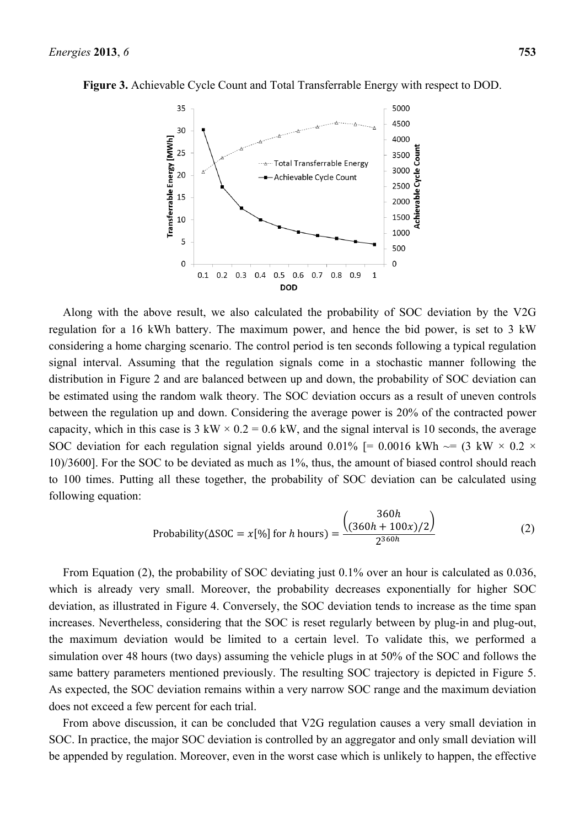



Along with the above result, we also calculated the probability of SOC deviation by the V2G regulation for a 16 kWh battery. The maximum power, and hence the bid power, is set to 3 kW considering a home charging scenario. The control period is ten seconds following a typical regulation signal interval. Assuming that the regulation signals come in a stochastic manner following the distribution in Figure 2 and are balanced between up and down, the probability of SOC deviation can be estimated using the random walk theory. The SOC deviation occurs as a result of uneven controls between the regulation up and down. Considering the average power is 20% of the contracted power capacity, which in this case is  $3 \text{ kW} \times 0.2 = 0.6 \text{ kW}$ , and the signal interval is 10 seconds, the average SOC deviation for each regulation signal yields around 0.01% [= 0.0016 kWh  $\sim$  = (3 kW  $\times$  0.2  $\times$ 10)/3600]. For the SOC to be deviated as much as 1%, thus, the amount of biased control should reach to 100 times. Putting all these together, the probability of SOC deviation can be calculated using following equation:

$$
\text{Probability}(\Delta \text{SOC} = x[\%] \text{ for } h \text{ hours}) = \frac{\begin{pmatrix} 360h \\ (360h + 100x)/2 \end{pmatrix}}{2^{360h}} \tag{2}
$$

From Equation (2), the probability of SOC deviating just 0.1% over an hour is calculated as 0.036, which is already very small. Moreover, the probability decreases exponentially for higher SOC deviation, as illustrated in Figure 4. Conversely, the SOC deviation tends to increase as the time span increases. Nevertheless, considering that the SOC is reset regularly between by plug-in and plug-out, the maximum deviation would be limited to a certain level. To validate this, we performed a simulation over 48 hours (two days) assuming the vehicle plugs in at 50% of the SOC and follows the same battery parameters mentioned previously. The resulting SOC trajectory is depicted in Figure 5. As expected, the SOC deviation remains within a very narrow SOC range and the maximum deviation does not exceed a few percent for each trial.

From above discussion, it can be concluded that V2G regulation causes a very small deviation in SOC. In practice, the major SOC deviation is controlled by an aggregator and only small deviation will be appended by regulation. Moreover, even in the worst case which is unlikely to happen, the effective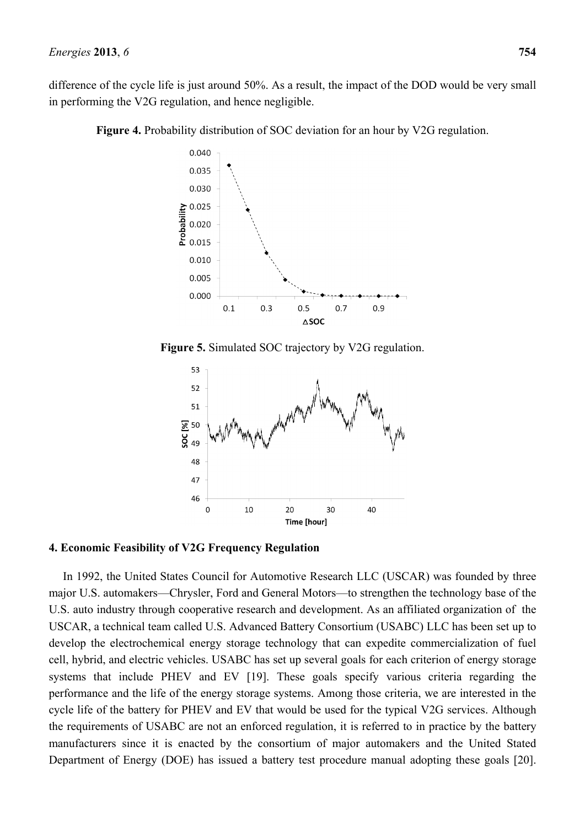difference of the cycle life is just around 50%. As a result, the impact of the DOD would be very small in performing the V2G regulation, and hence negligible.

**Figure 4.** Probability distribution of SOC deviation for an hour by V2G regulation.



**Figure 5.** Simulated SOC trajectory by V2G regulation.



**4. Economic Feasibility of V2G Frequency Regulation** 

In 1992, the United States Council for Automotive Research LLC (USCAR) was founded by three major U.S. automakers—Chrysler, Ford and General Motors—to strengthen the technology base of the U.S. auto industry through cooperative research and development. As an affiliated organization of the USCAR, a technical team called U.S. Advanced Battery Consortium (USABC) LLC has been set up to develop the electrochemical energy storage technology that can expedite commercialization of fuel cell, hybrid, and electric vehicles. USABC has set up several goals for each criterion of energy storage systems that include PHEV and EV [19]. These goals specify various criteria regarding the performance and the life of the energy storage systems. Among those criteria, we are interested in the cycle life of the battery for PHEV and EV that would be used for the typical V2G services. Although the requirements of USABC are not an enforced regulation, it is referred to in practice by the battery manufacturers since it is enacted by the consortium of major automakers and the United Stated Department of Energy (DOE) has issued a battery test procedure manual adopting these goals [20].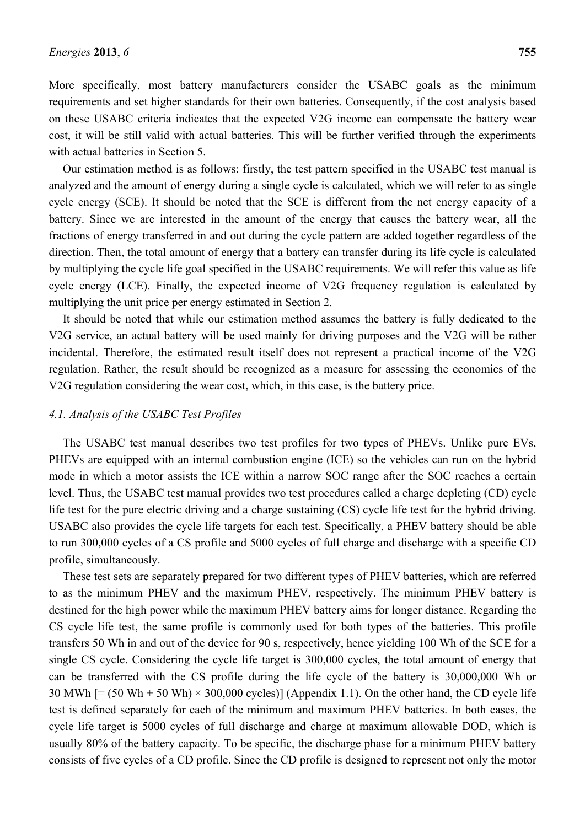More specifically, most battery manufacturers consider the USABC goals as the minimum requirements and set higher standards for their own batteries. Consequently, if the cost analysis based on these USABC criteria indicates that the expected V2G income can compensate the battery wear cost, it will be still valid with actual batteries. This will be further verified through the experiments with actual batteries in Section 5.

Our estimation method is as follows: firstly, the test pattern specified in the USABC test manual is analyzed and the amount of energy during a single cycle is calculated, which we will refer to as single cycle energy (SCE). It should be noted that the SCE is different from the net energy capacity of a battery. Since we are interested in the amount of the energy that causes the battery wear, all the fractions of energy transferred in and out during the cycle pattern are added together regardless of the direction. Then, the total amount of energy that a battery can transfer during its life cycle is calculated by multiplying the cycle life goal specified in the USABC requirements. We will refer this value as life cycle energy (LCE). Finally, the expected income of V2G frequency regulation is calculated by multiplying the unit price per energy estimated in Section 2.

It should be noted that while our estimation method assumes the battery is fully dedicated to the V2G service, an actual battery will be used mainly for driving purposes and the V2G will be rather incidental. Therefore, the estimated result itself does not represent a practical income of the V2G regulation. Rather, the result should be recognized as a measure for assessing the economics of the V2G regulation considering the wear cost, which, in this case, is the battery price.

### *4.1. Analysis of the USABC Test Profiles*

The USABC test manual describes two test profiles for two types of PHEVs. Unlike pure EVs, PHEVs are equipped with an internal combustion engine (ICE) so the vehicles can run on the hybrid mode in which a motor assists the ICE within a narrow SOC range after the SOC reaches a certain level. Thus, the USABC test manual provides two test procedures called a charge depleting (CD) cycle life test for the pure electric driving and a charge sustaining (CS) cycle life test for the hybrid driving. USABC also provides the cycle life targets for each test. Specifically, a PHEV battery should be able to run 300,000 cycles of a CS profile and 5000 cycles of full charge and discharge with a specific CD profile, simultaneously.

These test sets are separately prepared for two different types of PHEV batteries, which are referred to as the minimum PHEV and the maximum PHEV, respectively. The minimum PHEV battery is destined for the high power while the maximum PHEV battery aims for longer distance. Regarding the CS cycle life test, the same profile is commonly used for both types of the batteries. This profile transfers 50 Wh in and out of the device for 90 s, respectively, hence yielding 100 Wh of the SCE for a single CS cycle. Considering the cycle life target is 300,000 cycles, the total amount of energy that can be transferred with the CS profile during the life cycle of the battery is 30,000,000 Wh or 30 MWh  $[=(50 \text{ Wh} + 50 \text{ Wh}) \times 300,000 \text{ cycles}]$  (Appendix 1.1). On the other hand, the CD cycle life test is defined separately for each of the minimum and maximum PHEV batteries. In both cases, the cycle life target is 5000 cycles of full discharge and charge at maximum allowable DOD, which is usually 80% of the battery capacity. To be specific, the discharge phase for a minimum PHEV battery consists of five cycles of a CD profile. Since the CD profile is designed to represent not only the motor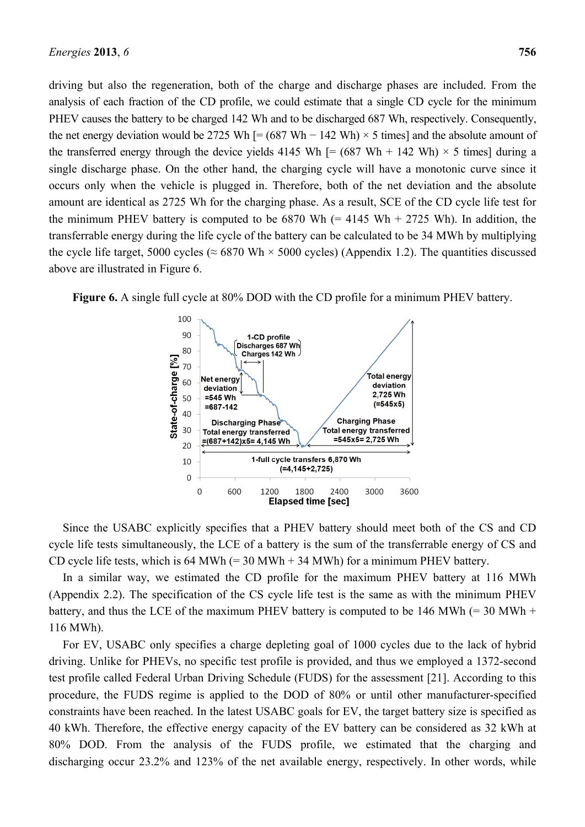driving but also the regeneration, both of the charge and discharge phases are included. From the analysis of each fraction of the CD profile, we could estimate that a single CD cycle for the minimum PHEV causes the battery to be charged 142 Wh and to be discharged 687 Wh, respectively. Consequently, the net energy deviation would be 2725 Wh  $[=(687 \text{ Wh} - 142 \text{ Wh}) \times 5 \text{ times}]$  and the absolute amount of the transferred energy through the device yields 4145 Wh  $[= (687 \text{ Wh} + 142 \text{ Wh}) \times 5$  times] during a single discharge phase. On the other hand, the charging cycle will have a monotonic curve since it occurs only when the vehicle is plugged in. Therefore, both of the net deviation and the absolute amount are identical as 2725 Wh for the charging phase. As a result, SCE of the CD cycle life test for the minimum PHEV battery is computed to be  $6870$  Wh (= 4145 Wh + 2725 Wh). In addition, the transferrable energy during the life cycle of the battery can be calculated to be 34 MWh by multiplying the cycle life target, 5000 cycles ( $\approx 6870$  Wh  $\times$  5000 cycles) (Appendix 1.2). The quantities discussed above are illustrated in Figure 6.



**Figure 6.** A single full cycle at 80% DOD with the CD profile for a minimum PHEV battery.

Since the USABC explicitly specifies that a PHEV battery should meet both of the CS and CD cycle life tests simultaneously, the LCE of a battery is the sum of the transferrable energy of CS and CD cycle life tests, which is 64 MWh  $(= 30 \text{ MWh} + 34 \text{ MWh})$  for a minimum PHEV battery.

In a similar way, we estimated the CD profile for the maximum PHEV battery at 116 MWh (Appendix 2.2). The specification of the CS cycle life test is the same as with the minimum PHEV battery, and thus the LCE of the maximum PHEV battery is computed to be 146 MWh  $(= 30 \text{ MWh} +$ 116 MWh).

For EV, USABC only specifies a charge depleting goal of 1000 cycles due to the lack of hybrid driving. Unlike for PHEVs, no specific test profile is provided, and thus we employed a 1372-second test profile called Federal Urban Driving Schedule (FUDS) for the assessment [21]. According to this procedure, the FUDS regime is applied to the DOD of 80% or until other manufacturer-specified constraints have been reached. In the latest USABC goals for EV, the target battery size is specified as 40 kWh. Therefore, the effective energy capacity of the EV battery can be considered as 32 kWh at 80% DOD. From the analysis of the FUDS profile, we estimated that the charging and discharging occur 23.2% and 123% of the net available energy, respectively. In other words, while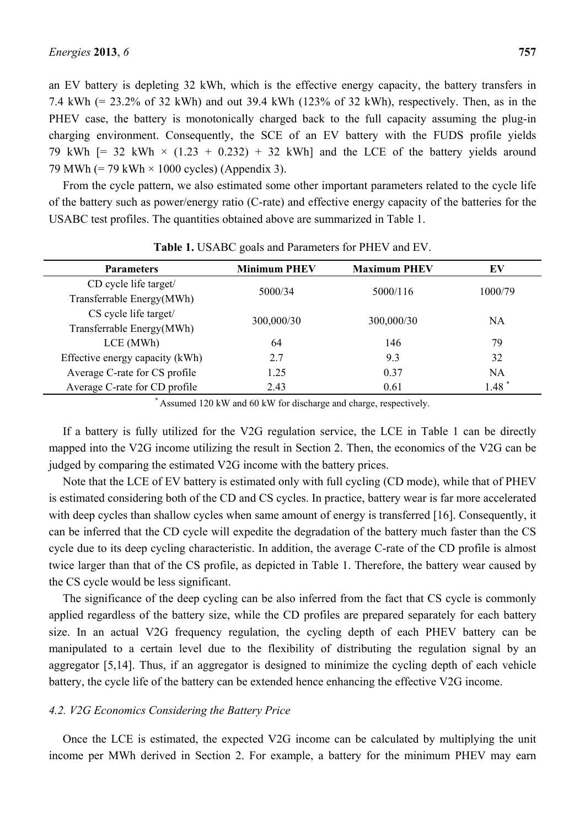an EV battery is depleting 32 kWh, which is the effective energy capacity, the battery transfers in 7.4 kWh (= 23.2% of 32 kWh) and out 39.4 kWh (123% of 32 kWh), respectively. Then, as in the PHEV case, the battery is monotonically charged back to the full capacity assuming the plug-in charging environment. Consequently, the SCE of an EV battery with the FUDS profile yields 79 kWh  $[= 32$  kWh  $\times$  (1.23 + 0.232) + 32 kWh] and the LCE of the battery yields around 79 MWh  $(= 79 \text{ kWh} \times 1000 \text{ cycles})$  (Appendix 3).

From the cycle pattern, we also estimated some other important parameters related to the cycle life of the battery such as power/energy ratio (C-rate) and effective energy capacity of the batteries for the USABC test profiles. The quantities obtained above are summarized in Table 1.

| <b>Parameters</b>               | <b>Minimum PHEV</b> | <b>Maximum PHEV</b> | EV                  |
|---------------------------------|---------------------|---------------------|---------------------|
| CD cycle life target/           | 5000/34             |                     | 1000/79             |
| Transferrable Energy(MWh)       |                     | 5000/116            |                     |
| CS cycle life target/           |                     |                     | <b>NA</b>           |
| Transferrable Energy(MWh)       | 300,000/30          | 300,000/30          |                     |
| $LCE$ (MWh)                     | 64                  | 146                 | 79                  |
| Effective energy capacity (kWh) | 2.7                 | 9.3                 | 32                  |
| Average C-rate for CS profile   | 1.25                | 0.37                | NA                  |
| Average C-rate for CD profile   | 2.43                | 0.61                | $1.48$ <sup>*</sup> |

**Table 1.** USABC goals and Parameters for PHEV and EV.

**\*** Assumed 120 kW and 60 kW for discharge and charge, respectively.

If a battery is fully utilized for the V2G regulation service, the LCE in Table 1 can be directly mapped into the V2G income utilizing the result in Section 2. Then, the economics of the V2G can be judged by comparing the estimated V2G income with the battery prices.

Note that the LCE of EV battery is estimated only with full cycling (CD mode), while that of PHEV is estimated considering both of the CD and CS cycles. In practice, battery wear is far more accelerated with deep cycles than shallow cycles when same amount of energy is transferred [16]. Consequently, it can be inferred that the CD cycle will expedite the degradation of the battery much faster than the CS cycle due to its deep cycling characteristic. In addition, the average C-rate of the CD profile is almost twice larger than that of the CS profile, as depicted in Table 1. Therefore, the battery wear caused by the CS cycle would be less significant.

The significance of the deep cycling can be also inferred from the fact that CS cycle is commonly applied regardless of the battery size, while the CD profiles are prepared separately for each battery size. In an actual V2G frequency regulation, the cycling depth of each PHEV battery can be manipulated to a certain level due to the flexibility of distributing the regulation signal by an aggregator [5,14]. Thus, if an aggregator is designed to minimize the cycling depth of each vehicle battery, the cycle life of the battery can be extended hence enhancing the effective V2G income.

#### *4.2. V2G Economics Considering the Battery Price*

Once the LCE is estimated, the expected V2G income can be calculated by multiplying the unit income per MWh derived in Section 2. For example, a battery for the minimum PHEV may earn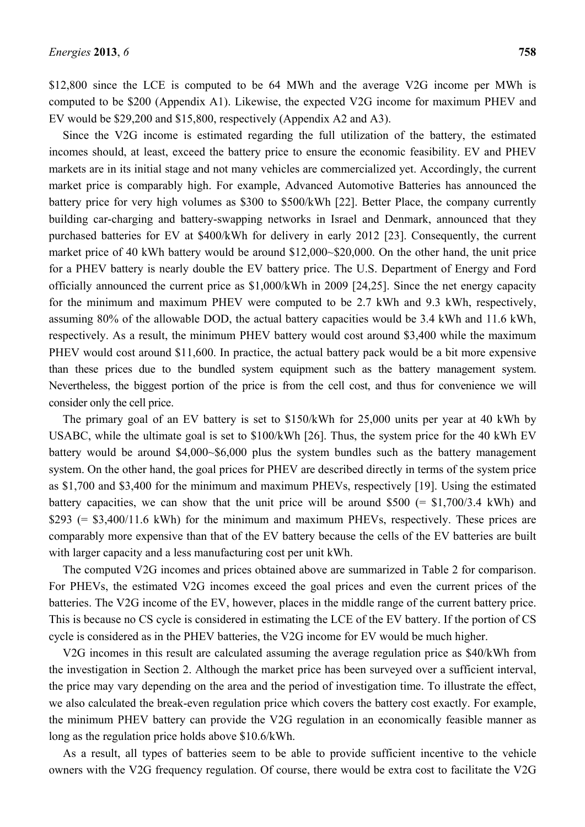\$12,800 since the LCE is computed to be 64 MWh and the average V2G income per MWh is computed to be \$200 (Appendix A1). Likewise, the expected V2G income for maximum PHEV and EV would be \$29,200 and \$15,800, respectively (Appendix A2 and A3).

Since the V2G income is estimated regarding the full utilization of the battery, the estimated incomes should, at least, exceed the battery price to ensure the economic feasibility. EV and PHEV markets are in its initial stage and not many vehicles are commercialized yet. Accordingly, the current market price is comparably high. For example, Advanced Automotive Batteries has announced the battery price for very high volumes as \$300 to \$500/kWh [22]. Better Place, the company currently building car-charging and battery-swapping networks in Israel and Denmark, announced that they purchased batteries for EV at \$400/kWh for delivery in early 2012 [23]. Consequently, the current market price of 40 kWh battery would be around \$12,000~\$20,000. On the other hand, the unit price for a PHEV battery is nearly double the EV battery price. The U.S. Department of Energy and Ford officially announced the current price as \$1,000/kWh in 2009 [24,25]. Since the net energy capacity for the minimum and maximum PHEV were computed to be 2.7 kWh and 9.3 kWh, respectively, assuming 80% of the allowable DOD, the actual battery capacities would be 3.4 kWh and 11.6 kWh, respectively. As a result, the minimum PHEV battery would cost around \$3,400 while the maximum PHEV would cost around \$11,600. In practice, the actual battery pack would be a bit more expensive than these prices due to the bundled system equipment such as the battery management system. Nevertheless, the biggest portion of the price is from the cell cost, and thus for convenience we will consider only the cell price.

The primary goal of an EV battery is set to \$150/kWh for 25,000 units per year at 40 kWh by USABC, while the ultimate goal is set to \$100/kWh [26]. Thus, the system price for the 40 kWh EV battery would be around \$4,000~\$6,000 plus the system bundles such as the battery management system. On the other hand, the goal prices for PHEV are described directly in terms of the system price as \$1,700 and \$3,400 for the minimum and maximum PHEVs, respectively [19]. Using the estimated battery capacities, we can show that the unit price will be around  $$500 (= $1,700/3.4 \text{ kWh})$  and  $$293$  (=  $$3,400/11.6$  kWh) for the minimum and maximum PHEVs, respectively. These prices are comparably more expensive than that of the EV battery because the cells of the EV batteries are built with larger capacity and a less manufacturing cost per unit kWh.

The computed V2G incomes and prices obtained above are summarized in Table 2 for comparison. For PHEVs, the estimated V2G incomes exceed the goal prices and even the current prices of the batteries. The V2G income of the EV, however, places in the middle range of the current battery price. This is because no CS cycle is considered in estimating the LCE of the EV battery. If the portion of CS cycle is considered as in the PHEV batteries, the V2G income for EV would be much higher.

V2G incomes in this result are calculated assuming the average regulation price as \$40/kWh from the investigation in Section 2. Although the market price has been surveyed over a sufficient interval, the price may vary depending on the area and the period of investigation time. To illustrate the effect, we also calculated the break-even regulation price which covers the battery cost exactly. For example, the minimum PHEV battery can provide the V2G regulation in an economically feasible manner as long as the regulation price holds above \$10.6/kWh.

As a result, all types of batteries seem to be able to provide sufficient incentive to the vehicle owners with the V2G frequency regulation. Of course, there would be extra cost to facilitate the V2G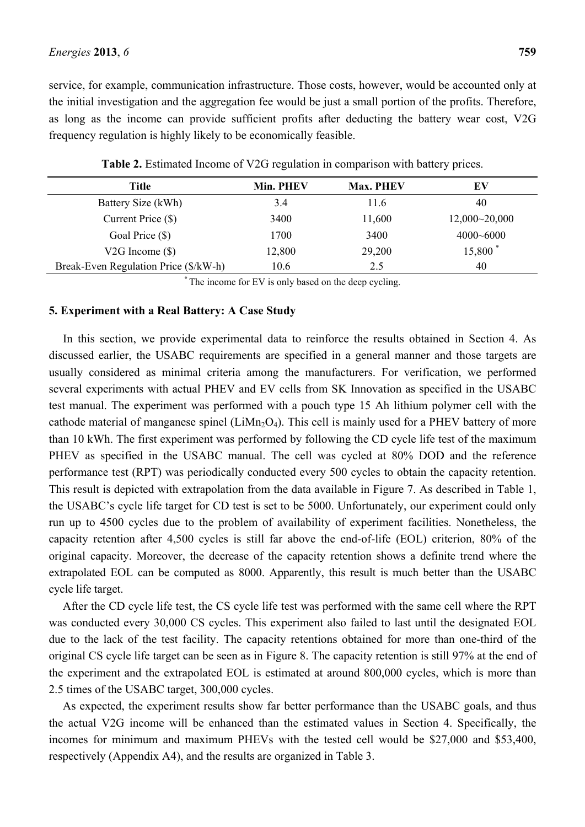service, for example, communication infrastructure. Those costs, however, would be accounted only at the initial investigation and the aggregation fee would be just a small portion of the profits. Therefore, as long as the income can provide sufficient profits after deducting the battery wear cost, V2G frequency regulation is highly likely to be economically feasible.

| Title                                 | Min. PHEV | <b>Max. PHEV</b> | EV                  |
|---------------------------------------|-----------|------------------|---------------------|
| Battery Size (kWh)                    | 3.4       | 11.6             | 40                  |
| Current Price $(\$)$                  | 3400      | 11,600           | 12,000~20,000       |
| Goal Price (\$)                       | 1700      | 3400             | $4000 - 6000$       |
| V2G Income $(\$)$                     | 12,800    | 29,200           | 15,800 <sup>*</sup> |
| Break-Even Regulation Price (\$/kW-h) | 10.6      | 2.5              | 40                  |

**Table 2.** Estimated Income of V2G regulation in comparison with battery prices.

**\*** The income for EV is only based on the deep cycling.

#### **5. Experiment with a Real Battery: A Case Study**

In this section, we provide experimental data to reinforce the results obtained in Section 4. As discussed earlier, the USABC requirements are specified in a general manner and those targets are usually considered as minimal criteria among the manufacturers. For verification, we performed several experiments with actual PHEV and EV cells from SK Innovation as specified in the USABC test manual. The experiment was performed with a pouch type 15 Ah lithium polymer cell with the cathode material of manganese spinel ( $LiMn<sub>2</sub>O<sub>4</sub>$ ). This cell is mainly used for a PHEV battery of more than 10 kWh. The first experiment was performed by following the CD cycle life test of the maximum PHEV as specified in the USABC manual. The cell was cycled at 80% DOD and the reference performance test (RPT) was periodically conducted every 500 cycles to obtain the capacity retention. This result is depicted with extrapolation from the data available in Figure 7. As described in Table 1, the USABC's cycle life target for CD test is set to be 5000. Unfortunately, our experiment could only run up to 4500 cycles due to the problem of availability of experiment facilities. Nonetheless, the capacity retention after 4,500 cycles is still far above the end-of-life (EOL) criterion, 80% of the original capacity. Moreover, the decrease of the capacity retention shows a definite trend where the extrapolated EOL can be computed as 8000. Apparently, this result is much better than the USABC cycle life target.

After the CD cycle life test, the CS cycle life test was performed with the same cell where the RPT was conducted every 30,000 CS cycles. This experiment also failed to last until the designated EOL due to the lack of the test facility. The capacity retentions obtained for more than one-third of the original CS cycle life target can be seen as in Figure 8. The capacity retention is still 97% at the end of the experiment and the extrapolated EOL is estimated at around 800,000 cycles, which is more than 2.5 times of the USABC target, 300,000 cycles.

As expected, the experiment results show far better performance than the USABC goals, and thus the actual V2G income will be enhanced than the estimated values in Section 4. Specifically, the incomes for minimum and maximum PHEVs with the tested cell would be \$27,000 and \$53,400, respectively (Appendix A4), and the results are organized in Table 3.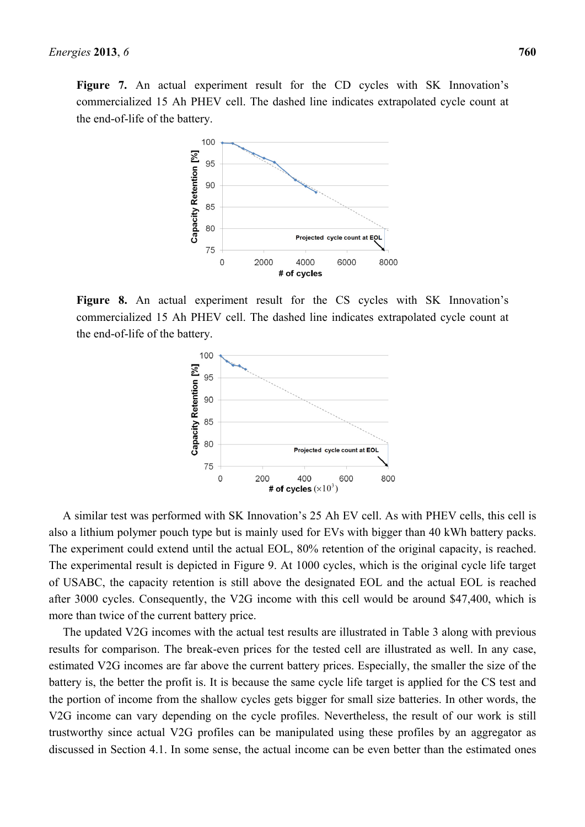Figure 7. An actual experiment result for the CD cycles with SK Innovation's commercialized 15 Ah PHEV cell. The dashed line indicates extrapolated cycle count at the end-of-life of the battery.



**Figure 8.** An actual experiment result for the CS cycles with SK Innovation's commercialized 15 Ah PHEV cell. The dashed line indicates extrapolated cycle count at the end-of-life of the battery.



A similar test was performed with SK Innovation's 25 Ah EV cell. As with PHEV cells, this cell is also a lithium polymer pouch type but is mainly used for EVs with bigger than 40 kWh battery packs. The experiment could extend until the actual EOL, 80% retention of the original capacity, is reached. The experimental result is depicted in Figure 9. At 1000 cycles, which is the original cycle life target of USABC, the capacity retention is still above the designated EOL and the actual EOL is reached after 3000 cycles. Consequently, the V2G income with this cell would be around \$47,400, which is more than twice of the current battery price.

The updated V2G incomes with the actual test results are illustrated in Table 3 along with previous results for comparison. The break-even prices for the tested cell are illustrated as well. In any case, estimated V2G incomes are far above the current battery prices. Especially, the smaller the size of the battery is, the better the profit is. It is because the same cycle life target is applied for the CS test and the portion of income from the shallow cycles gets bigger for small size batteries. In other words, the V2G income can vary depending on the cycle profiles. Nevertheless, the result of our work is still trustworthy since actual V2G profiles can be manipulated using these profiles by an aggregator as discussed in Section 4.1. In some sense, the actual income can be even better than the estimated ones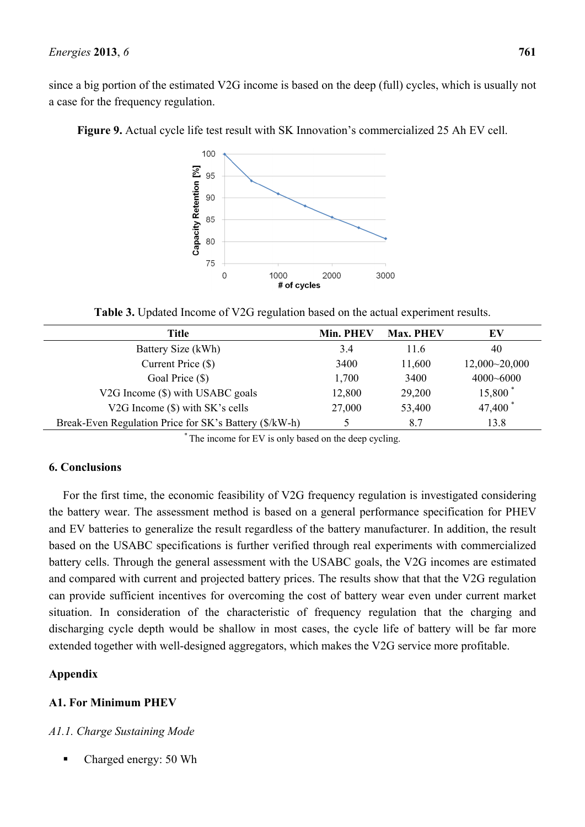since a big portion of the estimated V2G income is based on the deep (full) cycles, which is usually not a case for the frequency regulation.



**Figure 9.** Actual cycle life test result with SK Innovation's commercialized 25 Ah EV cell.

**Table 3.** Updated Income of V2G regulation based on the actual experiment results.

| Title                                                  | Min. PHEV | <b>Max. PHEV</b> | EV                  |
|--------------------------------------------------------|-----------|------------------|---------------------|
| Battery Size (kWh)                                     | 3.4       | 11.6             | 40                  |
| Current Price (\$)                                     | 3400      | 11,600           | 12,000~20,000       |
| Goal Price (\$)                                        | 1,700     | 3400             | $4000 - 6000$       |
| V2G Income (\$) with USABC goals                       | 12,800    | 29,200           | 15,800 <sup>*</sup> |
| V2G Income (\$) with SK's cells                        | 27,000    | 53,400           | 47,400 <sup>*</sup> |
| Break-Even Regulation Price for SK's Battery (\$/kW-h) |           | 87               | 13.8                |
|                                                        |           |                  |                     |

\* The income for EV is only based on the deep cycling.

### **6. Conclusions**

For the first time, the economic feasibility of V2G frequency regulation is investigated considering the battery wear. The assessment method is based on a general performance specification for PHEV and EV batteries to generalize the result regardless of the battery manufacturer. In addition, the result based on the USABC specifications is further verified through real experiments with commercialized battery cells. Through the general assessment with the USABC goals, the V2G incomes are estimated and compared with current and projected battery prices. The results show that that the V2G regulation can provide sufficient incentives for overcoming the cost of battery wear even under current market situation. In consideration of the characteristic of frequency regulation that the charging and discharging cycle depth would be shallow in most cases, the cycle life of battery will be far more extended together with well-designed aggregators, which makes the V2G service more profitable.

### **Appendix**

### **A1. For Minimum PHEV**

### *A1.1. Charge Sustaining Mode*

Charged energy: 50 Wh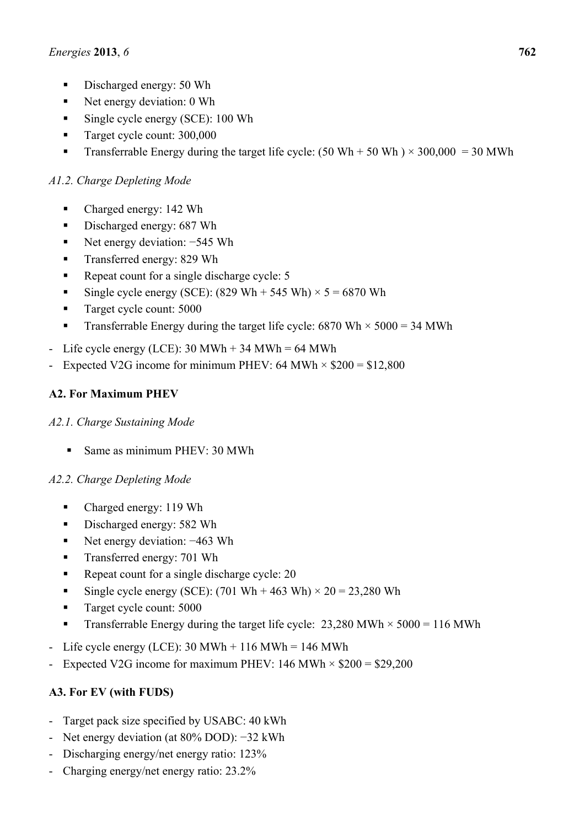- Discharged energy: 50 Wh
- Net energy deviation: 0 Wh
- Single cycle energy (SCE): 100 Wh
- Target cycle count: 300,000
- **Transferrable Energy during the target life cycle:** (50 Wh + 50 Wh)  $\times$  300,000 = 30 MWh

# *A1.2. Charge Depleting Mode*

- Charged energy: 142 Wh
- Discharged energy: 687 Wh
- Net energy deviation: −545 Wh
- **Transferred energy: 829 Wh**
- Repeat count for a single discharge cycle: 5
- Single cycle energy (SCE):  $(829 \text{ Wh} + 545 \text{ Wh}) \times 5 = 6870 \text{ Wh}$
- Target cycle count: 5000
- Transferrable Energy during the target life cycle:  $6870 \text{ Wh} \times 5000 = 34 \text{ MWh}$
- Life cycle energy (LCE):  $30 \text{ MWh} + 34 \text{ MWh} = 64 \text{ MWh}$
- Expected V2G income for minimum PHEV: 64 MWh  $\times$  \$200 = \$12,800

# **A2. For Maximum PHEV**

# *A2.1. Charge Sustaining Mode*

Same as minimum PHEV: 30 MWh

# *A2.2. Charge Depleting Mode*

- Charged energy: 119 Wh
- Discharged energy: 582 Wh
- Net energy deviation: −463 Wh
- **Transferred energy: 701 Wh**
- Repeat count for a single discharge cycle: 20
- Single cycle energy (SCE): (701 Wh + 463 Wh)  $\times$  20 = 23,280 Wh
- Target cycle count: 5000
- **Transferrable Energy during the target life cycle:** 23,280 MWh  $\times$  5000 = 116 MWh
- Life cycle energy (LCE):  $30 \text{ MWh} + 116 \text{ MWh} = 146 \text{ MWh}$
- Expected V2G income for maximum PHEV:  $146$  MWh  $\times$  \$200 = \$29,200

# **A3. For EV (with FUDS)**

- Target pack size specified by USABC: 40 kWh
- Net energy deviation (at 80% DOD): −32 kWh
- Discharging energy/net energy ratio: 123%
- Charging energy/net energy ratio: 23.2%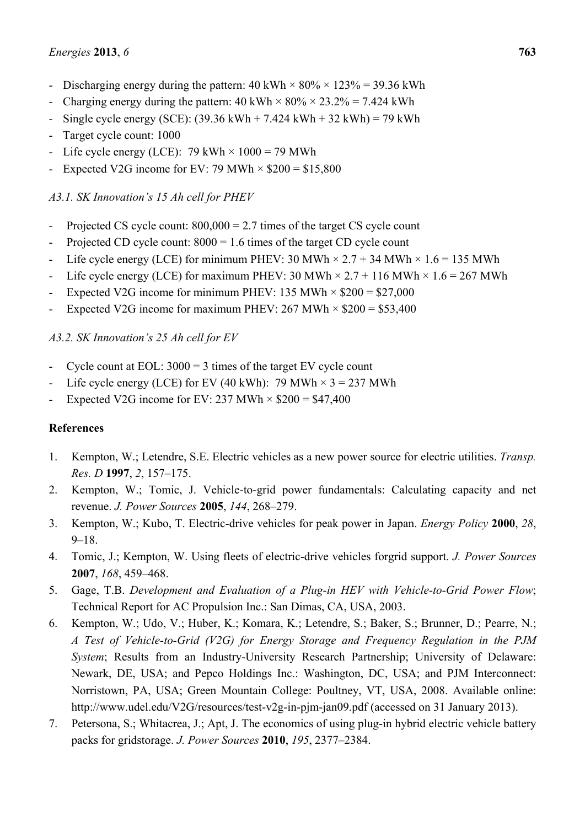- Discharging energy during the pattern:  $40 \text{ kWh} \times 80\% \times 123\% = 39.36 \text{ kWh}$
- Charging energy during the pattern:  $40 \text{ kWh} \times 80\% \times 23.2\% = 7.424 \text{ kWh}$
- Single cycle energy (SCE):  $(39.36 \text{ kWh} + 7.424 \text{ kWh} + 32 \text{ kWh}) = 79 \text{ kWh}$
- Target cycle count: 1000
- Life cycle energy (LCE):  $79$  kWh  $\times$  1000 = 79 MWh
- Expected V2G income for EV: 79 MWh  $\times$  \$200 = \$15,800

### *A3.1. SK Innovation's 15 Ah cell for PHEV*

- Projected CS cycle count:  $800,000 = 2.7$  times of the target CS cycle count
- Projected CD cycle count:  $8000 = 1.6$  times of the target CD cycle count
- Life cycle energy (LCE) for minimum PHEV: 30 MWh  $\times$  2.7 + 34 MWh  $\times$  1.6 = 135 MWh
- Life cycle energy (LCE) for maximum PHEV: 30 MWh  $\times$  2.7 + 116 MWh  $\times$  1.6 = 267 MWh
- Expected V2G income for minimum PHEV: 135 MWh  $\times$  \$200 = \$27,000
- Expected V2G income for maximum PHEV:  $267$  MWh  $\times$  \$200 = \$53,400

### *A3.2. SK Innovation's 25 Ah cell for EV*

- Cycle count at EOL:  $3000 = 3$  times of the target EV cycle count
- Life cycle energy (LCE) for EV (40 kWh): 79 MWh  $\times$  3 = 237 MWh
- Expected V2G income for EV: 237 MWh  $\times$  \$200 = \$47,400

### **References**

- 1. Kempton, W.; Letendre, S.E. Electric vehicles as a new power source for electric utilities. *Transp. Res. D* **1997**, *2*, 157–175.
- 2. Kempton, W.; Tomic, J. Vehicle-to-grid power fundamentals: Calculating capacity and net revenue. *J. Power Sources* **2005**, *144*, 268–279.
- 3. Kempton, W.; Kubo, T. Electric-drive vehicles for peak power in Japan. *Energy Policy* **2000**, *28*, 9–18.
- 4. Tomic, J.; Kempton, W. Using fleets of electric-drive vehicles forgrid support. *J. Power Sources* **2007**, *168*, 459–468.
- 5. Gage, T.B. *Development and Evaluation of a Plug-in HEV with Vehicle-to-Grid Power Flow*; Technical Report for AC Propulsion Inc.: San Dimas, CA, USA, 2003.
- 6. Kempton, W.; Udo, V.; Huber, K.; Komara, K.; Letendre, S.; Baker, S.; Brunner, D.; Pearre, N.; *A Test of Vehicle-to-Grid (V2G) for Energy Storage and Frequency Regulation in the PJM System*; Results from an Industry-University Research Partnership; University of Delaware: Newark, DE, USA; and Pepco Holdings Inc.: Washington, DC, USA; and PJM Interconnect: Norristown, PA, USA; Green Mountain College: Poultney, VT, USA, 2008. Available online: http://www.udel.edu/V2G/resources/test-v2g-in-pjm-jan09.pdf (accessed on 31 January 2013).
- 7. Petersona, S.; Whitacrea, J.; Apt, J. The economics of using plug-in hybrid electric vehicle battery packs for gridstorage. *J. Power Sources* **2010**, *195*, 2377–2384.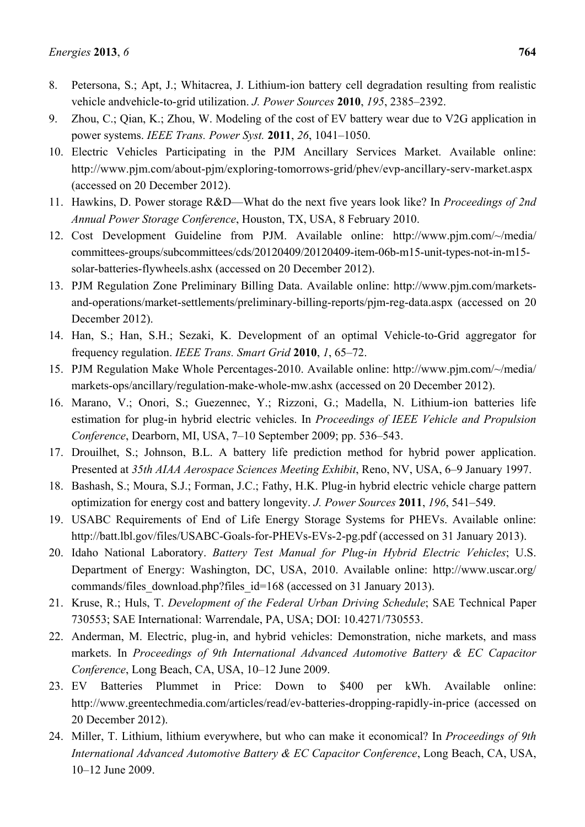- 8. Petersona, S.; Apt, J.; Whitacrea, J. Lithium-ion battery cell degradation resulting from realistic vehicle andvehicle-to-grid utilization. *J. Power Sources* **2010**, *195*, 2385–2392.
- 9. Zhou, C.; Qian, K.; Zhou, W. Modeling of the cost of EV battery wear due to V2G application in power systems. *IEEE Trans. Power Syst.* **2011**, *26*, 1041–1050.
- 10. Electric Vehicles Participating in the PJM Ancillary Services Market. Available online: http://www.pjm.com/about-pjm/exploring-tomorrows-grid/phev/evp-ancillary-serv-market.aspx (accessed on 20 December 2012).
- 11. Hawkins, D. Power storage R&D—What do the next five years look like? In *Proceedings of 2nd Annual Power Storage Conference*, Houston, TX, USA, 8 February 2010.
- 12. Cost Development Guideline from PJM. Available online: http://www.pjm.com/~/media/ committees-groups/subcommittees/cds/20120409/20120409-item-06b-m15-unit-types-not-in-m15 solar-batteries-flywheels.ashx (accessed on 20 December 2012).
- 13. PJM Regulation Zone Preliminary Billing Data. Available online: http://www.pjm.com/marketsand-operations/market-settlements/preliminary-billing-reports/pjm-reg-data.aspx (accessed on 20 December 2012).
- 14. Han, S.; Han, S.H.; Sezaki, K. Development of an optimal Vehicle-to-Grid aggregator for frequency regulation. *IEEE Trans. Smart Grid* **2010**, *1*, 65–72.
- 15. PJM Regulation Make Whole Percentages-2010. Available online: http://www.pjm.com/~/media/ markets-ops/ancillary/regulation-make-whole-mw.ashx (accessed on 20 December 2012).
- 16. Marano, V.; Onori, S.; Guezennec, Y.; Rizzoni, G.; Madella, N. Lithium-ion batteries life estimation for plug-in hybrid electric vehicles. In *Proceedings of IEEE Vehicle and Propulsion Conference*, Dearborn, MI, USA, 7–10 September 2009; pp. 536–543.
- 17. Drouilhet, S.; Johnson, B.L. A battery life prediction method for hybrid power application. Presented at *35th AIAA Aerospace Sciences Meeting Exhibit*, Reno, NV, USA, 6–9 January 1997.
- 18. Bashash, S.; Moura, S.J.; Forman, J.C.; Fathy, H.K. Plug-in hybrid electric vehicle charge pattern optimization for energy cost and battery longevity. *J. Power Sources* **2011**, *196*, 541–549.
- 19. USABC Requirements of End of Life Energy Storage Systems for PHEVs. Available online: http://batt.lbl.gov/files/USABC-Goals-for-PHEVs-EVs-2-pg.pdf (accessed on 31 January 2013).
- 20. Idaho National Laboratory. *Battery Test Manual for Plug-in Hybrid Electric Vehicles*; U.S. Department of Energy: Washington, DC, USA, 2010. Available online: http://www.uscar.org/ commands/files\_download.php?files\_id=168 (accessed on 31 January 2013).
- 21. Kruse, R.; Huls, T. *Development of the Federal Urban Driving Schedule*; SAE Technical Paper 730553; SAE International: Warrendale, PA, USA; DOI: 10.4271/730553.
- 22. Anderman, M. Electric, plug-in, and hybrid vehicles: Demonstration, niche markets, and mass markets. In *Proceedings of 9th International Advanced Automotive Battery & EC Capacitor Conference*, Long Beach, CA, USA, 10–12 June 2009.
- 23. EV Batteries Plummet in Price: Down to \$400 per kWh. Available online: http://www.greentechmedia.com/articles/read/ev-batteries-dropping-rapidly-in-price (accessed on 20 December 2012).
- 24. Miller, T. Lithium, lithium everywhere, but who can make it economical? In *Proceedings of 9th International Advanced Automotive Battery & EC Capacitor Conference*, Long Beach, CA, USA, 10–12 June 2009.